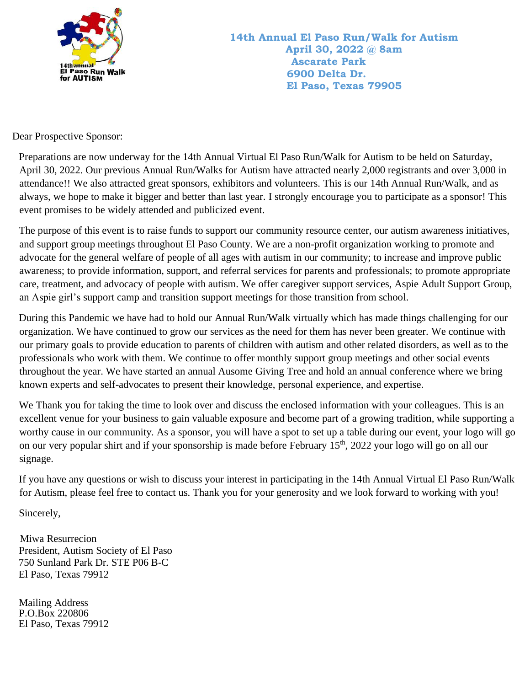

Dear Prospective Sponsor:

Preparations are now underway for the 14th Annual Virtual El Paso Run/Walk for Autism to be held on Saturday, April 30, 2022. Our previous Annual Run/Walks for Autism have attracted nearly 2,000 registrants and over 3,000 in attendance!! We also attracted great sponsors, exhibitors and volunteers. This is our 14th Annual Run/Walk, and as always, we hope to make it bigger and better than last year. I strongly encourage you to participate as a sponsor! This event promises to be widely attended and publicized event.

The purpose of this event is to raise funds to support our community resource center, our autism awareness initiatives, and support group meetings throughout El Paso County. We are a non-profit organization working to promote and advocate for the general welfare of people of all ages with autism in our community; to increase and improve public awareness; to provide information, support, and referral services for parents and professionals; to promote appropriate care, treatment, and advocacy of people with autism. We offer caregiver support services, Aspie Adult Support Group, an Aspie girl's support camp and transition support meetings for those transition from school.

During this Pandemic we have had to hold our Annual Run/Walk virtually which has made things challenging for our organization. We have continued to grow our services as the need for them has never been greater. We continue with our primary goals to provide education to parents of children with autism and other related disorders, as well as to the professionals who work with them. We continue to offer monthly support group meetings and other social events throughout the year. We have started an annual Ausome Giving Tree and hold an annual conference where we bring known experts and self-advocates to present their knowledge, personal experience, and expertise.

We Thank you for taking the time to look over and discuss the enclosed information with your colleagues. This is an excellent venue for your business to gain valuable exposure and become part of a growing tradition, while supporting a worthy cause in our community. As a sponsor, you will have a spot to set up a table during our event, your logo will go on our very popular shirt and if your sponsorship is made before February 15<sup>th</sup>, 2022 your logo will go on all our signage.

If you have any questions or wish to discuss your interest in participating in the 14th Annual Virtual El Paso Run/Walk for Autism, please feel free to contact us. Thank you for your generosity and we look forward to working with you!

Sincerely,

 Miwa Resurrecion President, Autism Society of El Paso 750 Sunland Park Dr. STE P06 B-C El Paso, Texas 79912

Mailing Address P.O.Box 220806 El Paso, Texas 79912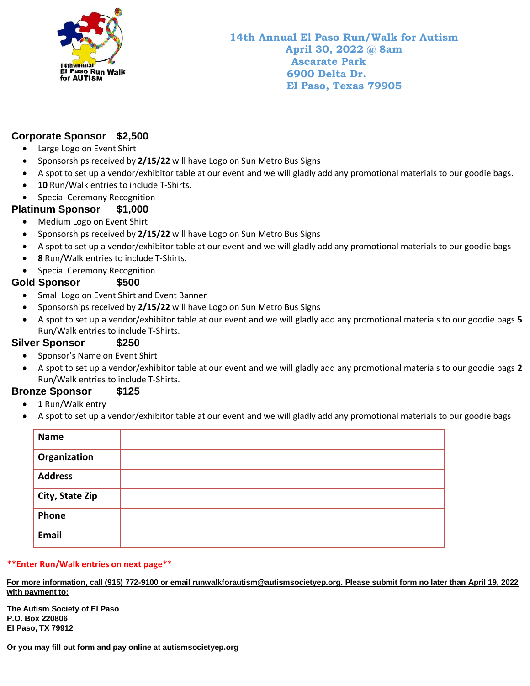

## **Corporate Sponsor \$2,500**

- Large Logo on Event Shirt
- Sponsorships received by **2/15/22** will have Logo on Sun Metro Bus Signs
- A spot to set up a vendor/exhibitor table at our event and we will gladly add any promotional materials to our goodie bags.
- **10** Run/Walk entries to include T-Shirts.
- Special Ceremony Recognition

### **Platinum Sponsor \$1,000**

- Medium Logo on Event Shirt
- Sponsorships received by **2/15/22** will have Logo on Sun Metro Bus Signs
- A spot to set up a vendor/exhibitor table at our event and we will gladly add any promotional materials to our goodie bags
- **8** Run/Walk entries to include T-Shirts.
- Special Ceremony Recognition

#### **Gold Sponsor \$500**

- Small Logo on Event Shirt and Event Banner
- Sponsorships received by **2/15/22** will have Logo on Sun Metro Bus Signs
- A spot to set up a vendor/exhibitor table at our event and we will gladly add any promotional materials to our goodie bags **5** Run/Walk entries to include T-Shirts.

#### **Silver Sponsor \$250**

- Sponsor's Name on Event Shirt
- A spot to set up a vendor/exhibitor table at our event and we will gladly add any promotional materials to our goodie bags **2** Run/Walk entries to include T-Shirts.

#### **Bronze Sponsor \$125**

- **1** Run/Walk entry
- A spot to set up a vendor/exhibitor table at our event and we will gladly add any promotional materials to our goodie bags

| <b>Name</b>     |  |
|-----------------|--|
| Organization    |  |
| <b>Address</b>  |  |
| City, State Zip |  |
| Phone           |  |
| Email           |  |

#### **\*\*Enter Run/Walk entries on next page\*\***

**For more information, call (915) 772-9100 or email runwalkforautism@autismsocietyep.org. Please submit form no later than April 19, 2022 with payment to:**

**The Autism Society of El Paso P.O. Box 220806 El Paso, TX 79912**

**Or you may fill out form and pay online at autismsocietyep.org**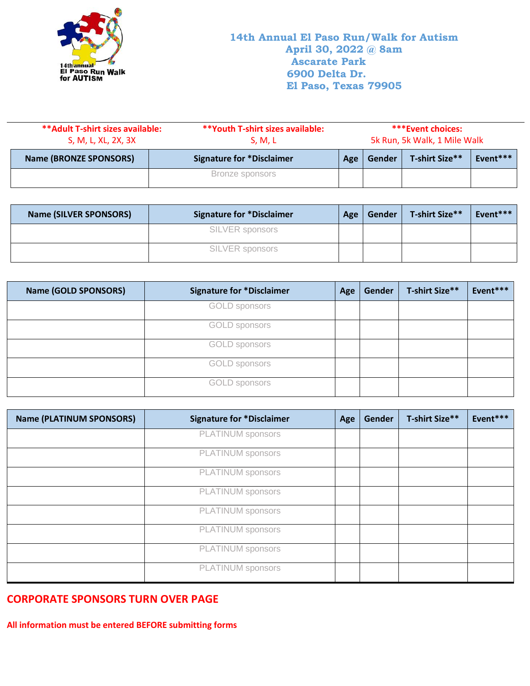

J.

| ** Adult T-shirt sizes available:<br>S, M, L, XL, 2X, 3X | **Youth T-shirt sizes available:<br>S, M, L | ***Event choices:<br>5k Run, 5k Walk, 1 Mile Walk |        |                |          |
|----------------------------------------------------------|---------------------------------------------|---------------------------------------------------|--------|----------------|----------|
| <b>Name (BRONZE SPONSORS)</b>                            | <b>Signature for *Disclaimer</b>            | Age                                               | Gender | T-shirt Size** | Event*** |
|                                                          | Bronze sponsors                             |                                                   |        |                |          |

| <b>Name (SILVER SPONSORS)</b> | <b>Signature for *Disclaimer</b> | Age | Gender | T-shirt Size** | Event*** |
|-------------------------------|----------------------------------|-----|--------|----------------|----------|
|                               | SILVER sponsors                  |     |        |                |          |
|                               | SILVER sponsors                  |     |        |                |          |

| <b>Name (GOLD SPONSORS)</b> | <b>Signature for *Disclaimer</b> | Age | Gender | T-shirt Size** | Event*** |
|-----------------------------|----------------------------------|-----|--------|----------------|----------|
|                             | <b>GOLD</b> sponsors             |     |        |                |          |
|                             | <b>GOLD</b> sponsors             |     |        |                |          |
|                             | <b>GOLD</b> sponsors             |     |        |                |          |
|                             | <b>GOLD</b> sponsors             |     |        |                |          |
|                             | <b>GOLD</b> sponsors             |     |        |                |          |

| <b>Name (PLATINUM SPONSORS)</b> | <b>Signature for *Disclaimer</b> | Age | Gender | T-shirt Size** | Event*** |
|---------------------------------|----------------------------------|-----|--------|----------------|----------|
|                                 | PLATINUM sponsors                |     |        |                |          |
|                                 | PLATINUM sponsors                |     |        |                |          |
|                                 | PLATINUM sponsors                |     |        |                |          |
|                                 | PLATINUM sponsors                |     |        |                |          |
|                                 | PLATINUM sponsors                |     |        |                |          |
|                                 | PLATINUM sponsors                |     |        |                |          |
|                                 | PLATINUM sponsors                |     |        |                |          |
|                                 | PLATINUM sponsors                |     |        |                |          |

# **CORPORATE SPONSORS TURN OVER PAGE**

**All information must be entered BEFORE submitting forms**